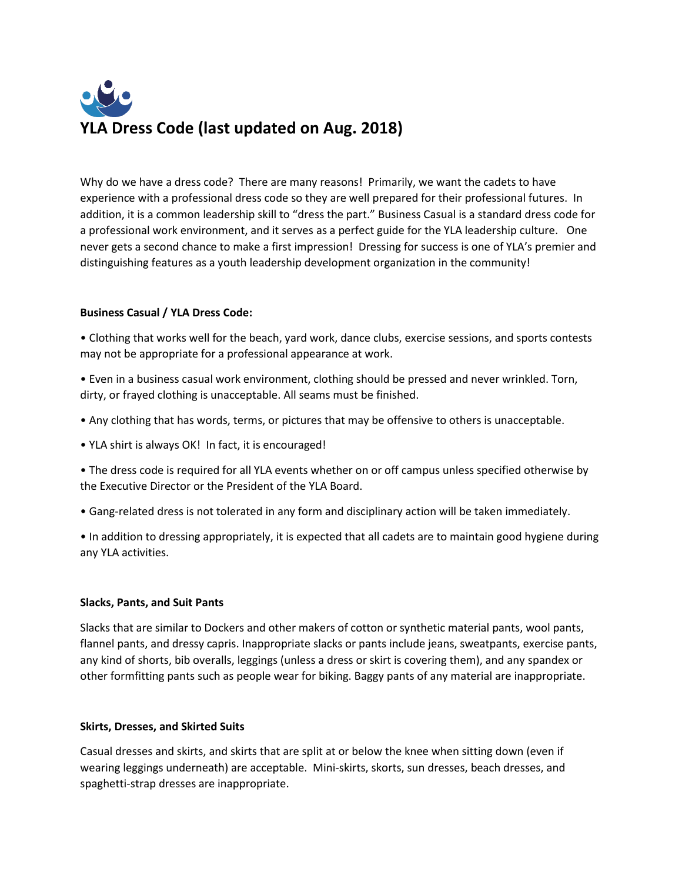# **YLA Dress Code (last updated on Aug. 2018)**

Why do we have a dress code? There are many reasons! Primarily, we want the cadets to have experience with a professional dress code so they are well prepared for their professional futures. In addition, it is a common leadership skill to "dress the part." Business Casual is a standard dress code for a professional work environment, and it serves as a perfect guide for the YLA leadership culture. One never gets a second chance to make a first impression! Dressing for success is one of YLA's premier and distinguishing features as a youth leadership development organization in the community!

# **Business Casual / YLA Dress Code:**

• Clothing that works well for the beach, yard work, dance clubs, exercise sessions, and sports contests may not be appropriate for a professional appearance at work.

• Even in a business casual work environment, clothing should be pressed and never wrinkled. Torn, dirty, or frayed clothing is unacceptable. All seams must be finished.

- Any clothing that has words, terms, or pictures that may be offensive to others is unacceptable.
- YLA shirt is always OK! In fact, it is encouraged!

• The dress code is required for all YLA events whether on or off campus unless specified otherwise by the Executive Director or the President of the YLA Board.

• Gang-related dress is not tolerated in any form and disciplinary action will be taken immediately.

• In addition to dressing appropriately, it is expected that all cadets are to maintain good hygiene during any YLA activities.

## **Slacks, Pants, and Suit Pants**

Slacks that are similar to Dockers and other makers of cotton or synthetic material pants, wool pants, flannel pants, and dressy capris. Inappropriate slacks or pants include jeans, sweatpants, exercise pants, any kind of shorts, bib overalls, leggings (unless a dress or skirt is covering them), and any spandex or other formfitting pants such as people wear for biking. Baggy pants of any material are inappropriate.

## **Skirts, Dresses, and Skirted Suits**

Casual dresses and skirts, and skirts that are split at or below the knee when sitting down (even if wearing leggings underneath) are acceptable. Mini-skirts, skorts, sun dresses, beach dresses, and spaghetti-strap dresses are inappropriate.